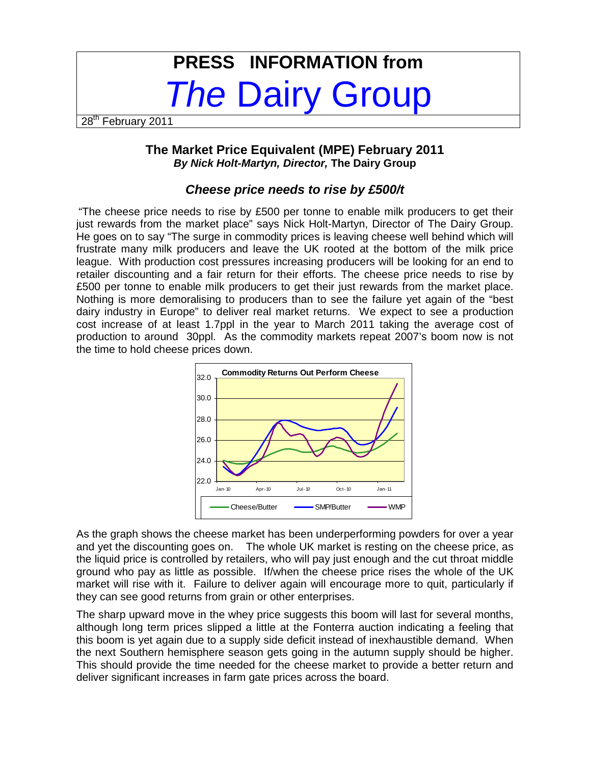# **PRESS INFORMATION from The Dairy Group**

28<sup>th</sup> February 2011

### **The Market Price Equivalent (MPE) February 2011 By Nick Holt-Martyn, Director, The Dairy Group**

## **Cheese price needs to rise by £500/t**

"The cheese price needs to rise by £500 per tonne to enable milk producers to get their just rewards from the market place" says Nick Holt-Martyn, Director of The Dairy Group. He goes on to say "The surge in commodity prices is leaving cheese well behind which will frustrate many milk producers and leave the UK rooted at the bottom of the milk price league. With production cost pressures increasing producers will be looking for an end to retailer discounting and a fair return for their efforts. The cheese price needs to rise by £500 per tonne to enable milk producers to get their just rewards from the market place. Nothing is more demoralising to producers than to see the failure yet again of the "best dairy industry in Europe" to deliver real market returns. We expect to see a production cost increase of at least 1.7ppl in the year to March 2011 taking the average cost of production to around 30ppl. As the commodity markets repeat 2007's boom now is not the time to hold cheese prices down.



As the graph shows the cheese market has been underperforming powders for over a year and yet the discounting goes on. The whole UK market is resting on the cheese price, as the liquid price is controlled by retailers, who will pay just enough and the cut throat middle ground who pay as little as possible. If/when the cheese price rises the whole of the UK market will rise with it. Failure to deliver again will encourage more to quit, particularly if they can see good returns from grain or other enterprises.

The sharp upward move in the whey price suggests this boom will last for several months, although long term prices slipped a little at the Fonterra auction indicating a feeling that this boom is yet again due to a supply side deficit instead of inexhaustible demand. When the next Southern hemisphere season gets going in the autumn supply should be higher. This should provide the time needed for the cheese market to provide a better return and deliver significant increases in farm gate prices across the board.